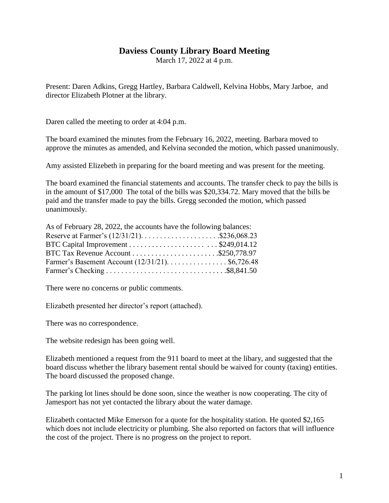# **Daviess County Library Board Meeting**

March 17, 2022 at 4 p.m.

Present: Daren Adkins, Gregg Hartley, Barbara Caldwell, Kelvina Hobbs, Mary Jarboe, and director Elizabeth Plotner at the library.

Daren called the meeting to order at 4:04 p.m.

The board examined the minutes from the February 16, 2022, meeting. Barbara moved to approve the minutes as amended, and Kelvina seconded the motion, which passed unanimously.

Amy assisted Elizebeth in preparing for the board meeting and was present for the meeting.

The board examined the financial statements and accounts. The transfer check to pay the bills is in the amount of \$17,000 The total of the bills was \$20,334.72. Mary moved that the bills be paid and the transfer made to pay the bills. Gregg seconded the motion, which passed unanimously.

| As of February 28, 2022, the accounts have the following balances: |  |
|--------------------------------------------------------------------|--|
| Reserve at Farmer's $(12/31/21)$ \$236,068.23                      |  |
|                                                                    |  |
|                                                                    |  |
| Farmer's Basement Account (12/31/21). \$6,726.48                   |  |
|                                                                    |  |

There were no concerns or public comments.

Elizabeth presented her director's report (attached).

There was no correspondence.

The website redesign has been going well.

Elizabeth mentioned a request from the 911 board to meet at the libary, and suggested that the board discuss whether the library basement rental should be waived for county (taxing) entities. The board discussed the proposed change.

The parking lot lines should be done soon, since the weather is now cooperating. The city of Jamesport has not yet contacted the library about the water damage.

Elizabeth contacted Mike Emerson for a quote for the hospitality station. He quoted \$2,165 which does not include electricity or plumbing. She also reported on factors that will influence the cost of the project. There is no progress on the project to report.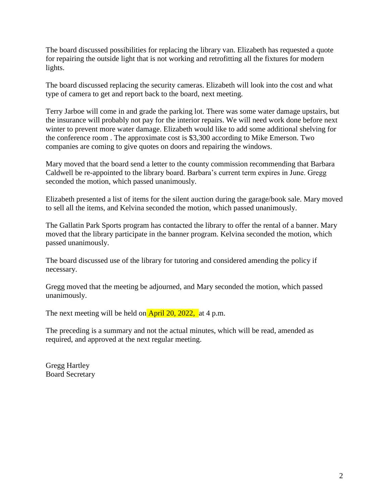The board discussed possibilities for replacing the library van. Elizabeth has requested a quote for repairing the outside light that is not working and retrofitting all the fixtures for modern lights.

The board discussed replacing the security cameras. Elizabeth will look into the cost and what type of camera to get and report back to the board, next meeting.

Terry Jarboe will come in and grade the parking lot. There was some water damage upstairs, but the insurance will probably not pay for the interior repairs. We will need work done before next winter to prevent more water damage. Elizabeth would like to add some additional shelving for the conference room . The approximate cost is \$3,300 according to Mike Emerson. Two companies are coming to give quotes on doors and repairing the windows.

Mary moved that the board send a letter to the county commission recommending that Barbara Caldwell be re-appointed to the library board. Barbara's current term expires in June. Gregg seconded the motion, which passed unanimously.

Elizabeth presented a list of items for the silent auction during the garage/book sale. Mary moved to sell all the items, and Kelvina seconded the motion, which passed unanimously.

The Gallatin Park Sports program has contacted the library to offer the rental of a banner. Mary moved that the library participate in the banner program. Kelvina seconded the motion, which passed unanimously.

The board discussed use of the library for tutoring and considered amending the policy if necessary.

Gregg moved that the meeting be adjourned, and Mary seconded the motion, which passed unanimously.

The next meeting will be held on  $\overline{April\ 20, 2022, at 4 p.m.}$ 

The preceding is a summary and not the actual minutes, which will be read, amended as required, and approved at the next regular meeting.

Gregg Hartley Board Secretary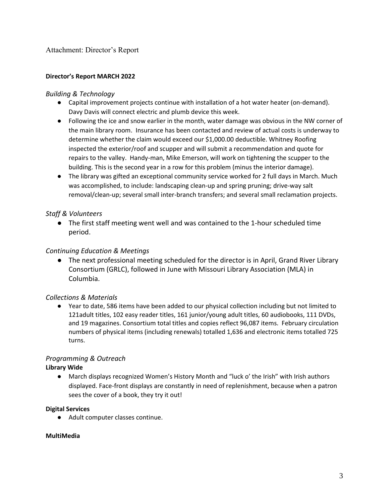#### **Director's Report MARCH 2022**

#### *Building & Technology*

- Capital improvement projects continue with installation of a hot water heater (on-demand). Davy Davis will connect electric and plumb device this week.
- Following the ice and snow earlier in the month, water damage was obvious in the NW corner of the main library room. Insurance has been contacted and review of actual costs is underway to determine whether the claim would exceed our \$1,000.00 deductible. Whitney Roofing inspected the exterior/roof and scupper and will submit a recommendation and quote for repairs to the valley. Handy-man, Mike Emerson, will work on tightening the scupper to the building. This is the second year in a row for this problem (minus the interior damage).
- The library was gifted an exceptional community service worked for 2 full days in March. Much was accomplished, to include: landscaping clean-up and spring pruning; drive-way salt removal/clean-up; several small inter-branch transfers; and several small reclamation projects.

## *Staff & Volunteers*

● The first staff meeting went well and was contained to the 1-hour scheduled time period.

## *Continuing Education & Meetings*

● The next professional meeting scheduled for the director is in April, Grand River Library Consortium (GRLC), followed in June with Missouri Library Association (MLA) in Columbia.

## *Collections & Materials*

● Year to date, 586 items have been added to our physical collection including but not limited to 121adult titles, 102 easy reader titles, 161 junior/young adult titles, 60 audiobooks, 111 DVDs, and 19 magazines. Consortium total titles and copies reflect 96,087 items. February circulation numbers of physical items (including renewals) totalled 1,636 and electronic items totalled 725 turns.

# *Programming & Outreach*

## **Library Wide**

● March displays recognized Women's History Month and "luck o' the Irish" with Irish authors displayed. Face-front displays are constantly in need of replenishment, because when a patron sees the cover of a book, they try it out!

## **Digital Services**

● Adult computer classes continue.

## **MultiMedia**